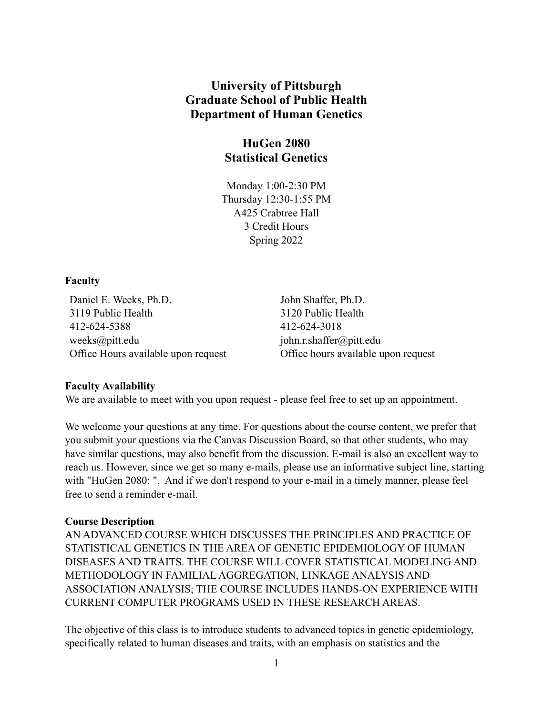## **University of Pittsburgh Graduate School of Public Health Department of Human Genetics**

# **HuGen 2080 Statistical Genetics**

Monday 1:00-2:30 PM Thursday 12:30-1:55 PM A425 Crabtree Hall 3 Credit Hours Spring 2022

#### **Faculty**

Daniel E. Weeks, Ph.D. 3119 Public Health 412-624-5388 weeks@pitt.edu Office Hours available upon request John Shaffer, Ph.D. 3120 Public Health 412-624-3018 john.r.shaffer@pitt.edu Office hours available upon request

## **Faculty Availability**

We are available to meet with you upon request - please feel free to set up an appointment.

We welcome your questions at any time. For questions about the course content, we prefer that you submit your questions via the Canvas Discussion Board, so that other students, who may have similar questions, may also benefit from the discussion. E-mail is also an excellent way to reach us. However, since we get so many e-mails, please use an informative subject line, starting with "HuGen 2080: ". And if we don't respond to your e-mail in a timely manner, please feel free to send a reminder e-mail.

## **Course Description**

AN ADVANCED COURSE WHICH DISCUSSES THE PRINCIPLES AND PRACTICE OF STATISTICAL GENETICS IN THE AREA OF GENETIC EPIDEMIOLOGY OF HUMAN DISEASES AND TRAITS. THE COURSE WILL COVER STATISTICAL MODELING AND METHODOLOGY IN FAMILIAL AGGREGATION, LINKAGE ANALYSIS AND ASSOCIATION ANALYSIS; THE COURSE INCLUDES HANDS-ON EXPERIENCE WITH CURRENT COMPUTER PROGRAMS USED IN THESE RESEARCH AREAS.

The objective of this class is to introduce students to advanced topics in genetic epidemiology, specifically related to human diseases and traits, with an emphasis on statistics and the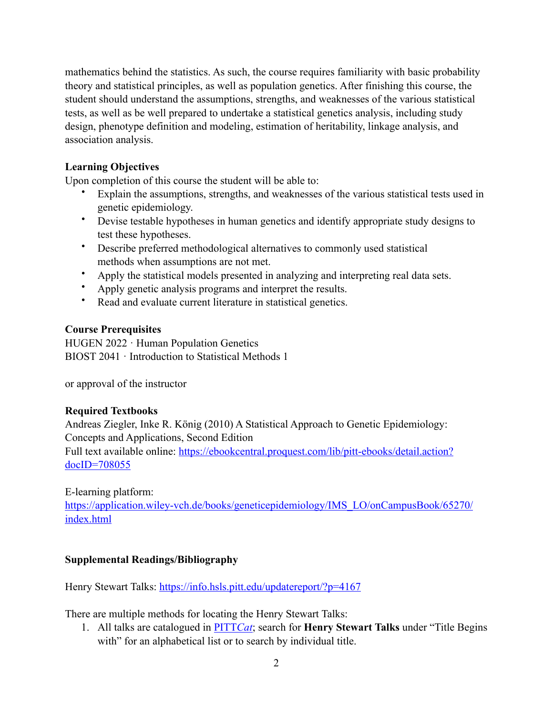mathematics behind the statistics. As such, the course requires familiarity with basic probability theory and statistical principles, as well as population genetics. After finishing this course, the student should understand the assumptions, strengths, and weaknesses of the various statistical tests, as well as be well prepared to undertake a statistical genetics analysis, including study design, phenotype definition and modeling, estimation of heritability, linkage analysis, and association analysis.

## **Learning Objectives**

Upon completion of this course the student will be able to:

- Explain the assumptions, strengths, and weaknesses of the various statistical tests used in genetic epidemiology.
- Devise testable hypotheses in human genetics and identify appropriate study designs to test these hypotheses.
- Describe preferred methodological alternatives to commonly used statistical methods when assumptions are not met.
- Apply the statistical models presented in analyzing and interpreting real data sets.
- Apply genetic analysis programs and interpret the results.
- Read and evaluate current literature in statistical genetics.

## **Course Prerequisites**

HUGEN 2022 · Human Population Genetics BIOST 2041 · Introduction to Statistical Methods 1

or approval of the instructor

## **Required Textbooks**

Andreas Ziegler, Inke R. König (2010) A Statistical Approach to Genetic Epidemiology: Concepts and Applications, Second Edition Full text available online: [https://ebookcentral.proquest.com/lib/pitt-ebooks/detail.action?](https://ebookcentral.proquest.com/lib/pitt-ebooks/detail.action?docID=708055) [docID=708055](https://ebookcentral.proquest.com/lib/pitt-ebooks/detail.action?docID=708055)

E-learning platform:

[https://application.wiley-vch.de/books/geneticepidemiology/IMS\\_LO/onCampusBook/65270/](https://application.wiley-vch.de/books/geneticepidemiology/IMS_LO/onCampusBook/65270/index.html) [index.html](https://application.wiley-vch.de/books/geneticepidemiology/IMS_LO/onCampusBook/65270/index.html)

## **Supplemental Readings/Bibliography**

Henry Stewart Talks: <https://info.hsls.pitt.edu/updatereport/?p=4167>

There are multiple methods for locating the Henry Stewart Talks:

1. All talks are catalogued in [PITT](http://pittcat.hsls.pitt.edu/)*Cat*; search for **Henry Stewart Talks** under "Title Begins with" for an alphabetical list or to search by individual title.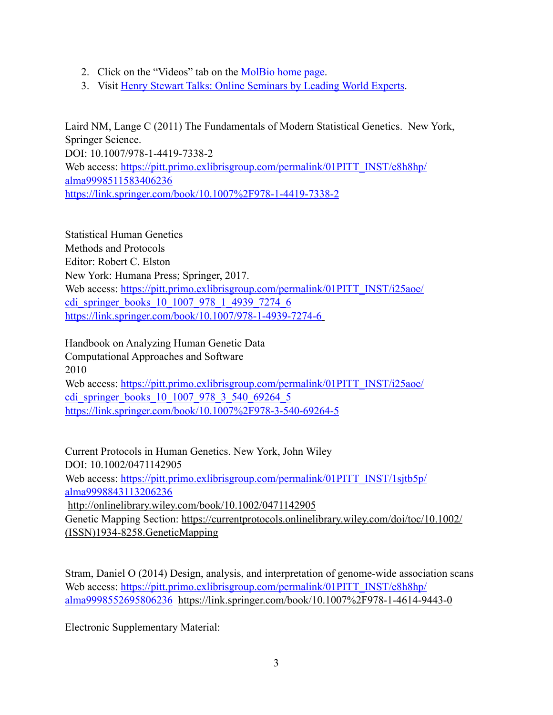- 2. Click on the "Videos" tab on the [MolBio home page.](https://info.hsls.pitt.edu/guides/genetics)
- 3. Visit [Henry Stewart Talks: Online Seminars by Leading World Experts.](http://hstalks.com/main/index_category.php?id=252)

Laird NM, Lange C (2011) The Fundamentals of Modern Statistical Genetics. New York, Springer Science. DOI: 10.1007/978-1-4419-7338-2 Web access: [https://pitt.primo.exlibrisgroup.com/permalink/01PITT\\_INST/e8h8hp/](https://pitt.primo.exlibrisgroup.com/permalink/01PITT_INST/e8h8hp/alma9998511583406236) [alma9998511583406236](https://pitt.primo.exlibrisgroup.com/permalink/01PITT_INST/e8h8hp/alma9998511583406236) [https://link.springer.com/book/10.1007%2F978-1-4419-7338-2](https://link.springer.com/book/10.1007/978-1-4419-7338-2)

Statistical Human Genetics Methods and Protocols Editor: Robert C. Elston New York: Humana Press; Springer, 2017. Web access: [https://pitt.primo.exlibrisgroup.com/permalink/01PITT\\_INST/i25aoe/](https://pitt.primo.exlibrisgroup.com/permalink/01PITT_INST/i25aoe/cdi_springer_books_10_1007_978_1_4939_7274_6) [cdi\\_springer\\_books\\_10\\_1007\\_978\\_1\\_4939\\_7274\\_6](https://pitt.primo.exlibrisgroup.com/permalink/01PITT_INST/i25aoe/cdi_springer_books_10_1007_978_1_4939_7274_6) <https://link.springer.com/book/10.1007/978-1-4939-7274-6>

Handbook on Analyzing Human Genetic Data Computational Approaches and Software 2010 Web access: [https://pitt.primo.exlibrisgroup.com/permalink/01PITT\\_INST/i25aoe/](https://pitt.primo.exlibrisgroup.com/permalink/01PITT_INST/i25aoe/cdi_springer_books_10_1007_978_3_540_69264_5) [cdi\\_springer\\_books\\_10\\_1007\\_978\\_3\\_540\\_69264\\_5](https://pitt.primo.exlibrisgroup.com/permalink/01PITT_INST/i25aoe/cdi_springer_books_10_1007_978_3_540_69264_5) [https://link.springer.com/book/10.1007%2F978-3-540-69264-5](https://link.springer.com/book/10.1007/978-3-540-69264-5)

Current Protocols in Human Genetics. New York, John Wiley DOI: 10.1002/0471142905 Web access: [https://pitt.primo.exlibrisgroup.com/permalink/01PITT\\_INST/1sjtb5p/](https://pitt.primo.exlibrisgroup.com/permalink/01PITT_INST/1sjtb5p/alma9998843113206236) [alma9998843113206236](https://pitt.primo.exlibrisgroup.com/permalink/01PITT_INST/1sjtb5p/alma9998843113206236) <http://onlinelibrary.wiley.com/book/10.1002/0471142905> Genetic Mapping Section: [https://currentprotocols.onlinelibrary.wiley.com/doi/toc/10.1002/](https://currentprotocols.onlinelibrary.wiley.com/doi/toc/10.1002/(ISSN)1934-8258.GeneticMapping) [\(ISSN\)1934-8258.GeneticMapping](https://currentprotocols.onlinelibrary.wiley.com/doi/toc/10.1002/(ISSN)1934-8258.GeneticMapping)

Stram, Daniel O (2014) Design, analysis, and interpretation of genome-wide association scans Web access: [https://pitt.primo.exlibrisgroup.com/permalink/01PITT\\_INST/e8h8hp/](https://pitt.primo.exlibrisgroup.com/permalink/01PITT_INST/e8h8hp/alma9998552695806236) [alma9998552695806236](https://pitt.primo.exlibrisgroup.com/permalink/01PITT_INST/e8h8hp/alma9998552695806236) [https://link.springer.com/book/10.1007%2F978-1-4614-9443-0](https://link.springer.com/book/10.1007/978-1-4614-9443-0)

Electronic Supplementary Material: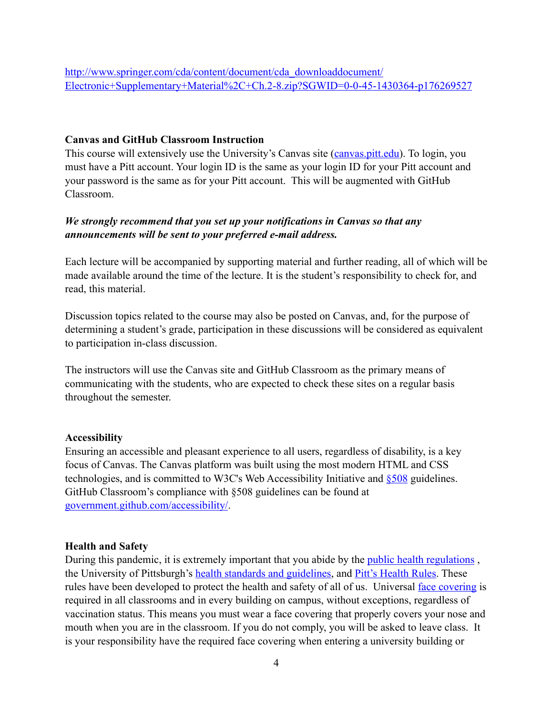## **Canvas and GitHub Classroom Instruction**

This course will extensively use the University's Canvas site [\(canvas.pitt.edu](http://canvas.pitt.edu/)). To login, you must have a Pitt account. Your login ID is the same as your login ID for your Pitt account and your password is the same as for your Pitt account. This will be augmented with GitHub Classroom.

## *We strongly recommend that you set up your notifications in Canvas so that any announcements will be sent to your preferred e-mail address.*

Each lecture will be accompanied by supporting material and further reading, all of which will be made available around the time of the lecture. It is the student's responsibility to check for, and read, this material.

Discussion topics related to the course may also be posted on Canvas, and, for the purpose of determining a student's grade, participation in these discussions will be considered as equivalent to participation in-class discussion.

The instructors will use the Canvas site and GitHub Classroom as the primary means of communicating with the students, who are expected to check these sites on a regular basis throughout the semester.

#### **Accessibility**

Ensuring an accessible and pleasant experience to all users, regardless of disability, is a key focus of Canvas. The Canvas platform was built using the most modern HTML and CSS technologies, and is committed to W3C's Web Accessibility Initiative and [§508](http://www.section508.gov/) guidelines. GitHub Classroom's compliance with §508 guidelines can be found at [government.github.com/accessibility/.](https://government.github.com/accessibility/)

#### **Health and Safety**

During this pandemic, it is extremely important that you abide by the *public health regulations*, the University of Pittsburgh's [health standards and guidelines,](https://www.policy.pitt.edu/university-policies-and-procedures/covid-19-standards-and-guidelines) and [Pitt's Health Rules](https://www.coronavirus.pitt.edu/healthy-community/pitts-health-rules). These rules have been developed to protect the health and safety of all of us. Universal [face covering](https://www.coronavirus.pitt.edu/frequently-asked-questions-about-face-coverings) is required in all classrooms and in every building on campus, without exceptions, regardless of vaccination status. This means you must wear a face covering that properly covers your nose and mouth when you are in the classroom. If you do not comply, you will be asked to leave class. It is your responsibility have the required face covering when entering a university building or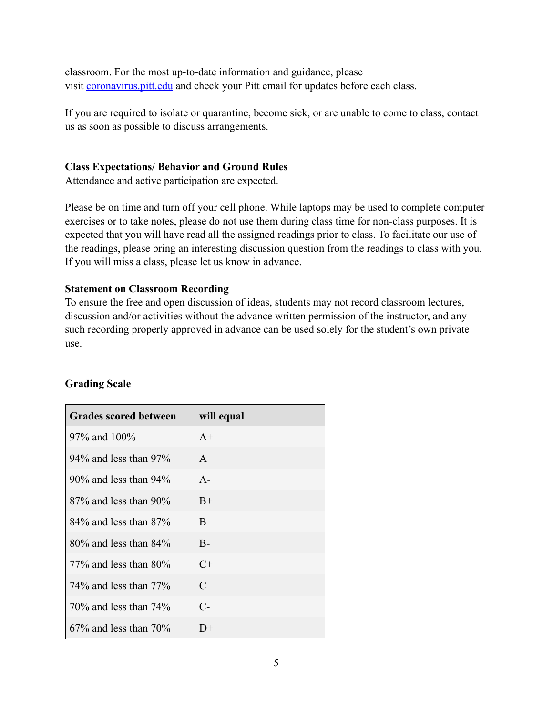classroom. For the most up-to-date information and guidance, please visit [coronavirus.pitt.edu](http://coronavirus.pitt.edu/) and check your Pitt email for updates before each class.

If you are required to isolate or quarantine, become sick, or are unable to come to class, contact us as soon as possible to discuss arrangements.

## **Class Expectations/ Behavior and Ground Rules**

Attendance and active participation are expected.

Please be on time and turn off your cell phone. While laptops may be used to complete computer exercises or to take notes, please do not use them during class time for non-class purposes. It is expected that you will have read all the assigned readings prior to class. To facilitate our use of the readings, please bring an interesting discussion question from the readings to class with you. If you will miss a class, please let us know in advance.

## **Statement on Classroom Recording**

To ensure the free and open discussion of ideas, students may not record classroom lectures, discussion and/or activities without the advance written permission of the instructor, and any such recording properly approved in advance can be used solely for the student's own private use.

| <b>Grades scored between</b> | will equal    |
|------------------------------|---------------|
| 97% and 100%                 | $A+$          |
| $94\%$ and less than $97\%$  | $\mathsf{A}$  |
| $90\%$ and less than $94\%$  | $A -$         |
| $87\%$ and less than 90%     | $B+$          |
| $84\%$ and less than $87\%$  | B             |
| $80\%$ and less than $84\%$  | $B -$         |
| 77% and less than $80\%$     | $C+$          |
| 74\% and less than $77\%$    | $\mathcal{C}$ |
| $70\%$ and less than $74\%$  | $C-$          |
| $67\%$ and less than $70\%$  | $D+$          |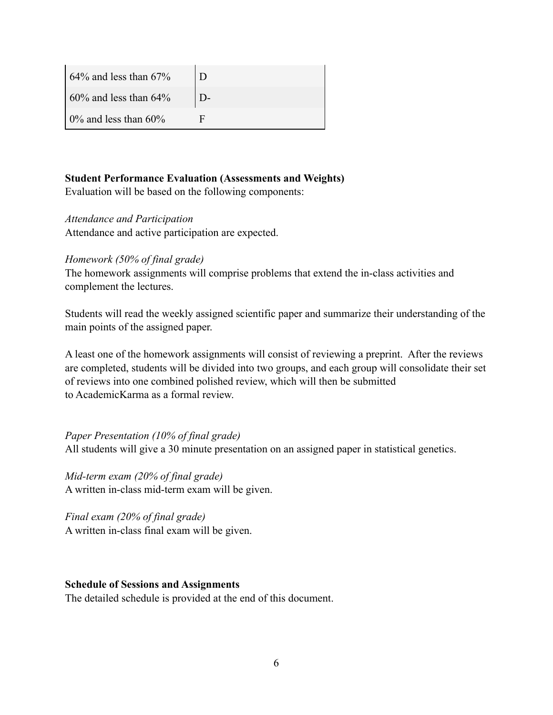| $\frac{1}{2}$ 64% and less than 67%   |  |
|---------------------------------------|--|
| $\frac{1}{2}$ 60% and less than 64%   |  |
| $\frac{10\%}{10\%}$ and less than 60% |  |

## **Student Performance Evaluation (Assessments and Weights)**

Evaluation will be based on the following components:

## *Attendance and Participation*

Attendance and active participation are expected.

## *Homework (50% of final grade)*

The homework assignments will comprise problems that extend the in-class activities and complement the lectures.

Students will read the weekly assigned scientific paper and summarize their understanding of the main points of the assigned paper.

A least one of the homework assignments will consist of reviewing a preprint. After the reviews are completed, students will be divided into two groups, and each group will consolidate their set of reviews into one combined polished review, which will then be submitted to AcademicKarma as a formal review.

*Paper Presentation (10% of final grade)* All students will give a 30 minute presentation on an assigned paper in statistical genetics.

*Mid-term exam (20% of final grade)* A written in-class mid-term exam will be given.

*Final exam (20% of final grade)* A written in-class final exam will be given.

#### **Schedule of Sessions and Assignments**

The detailed schedule is provided at the end of this document.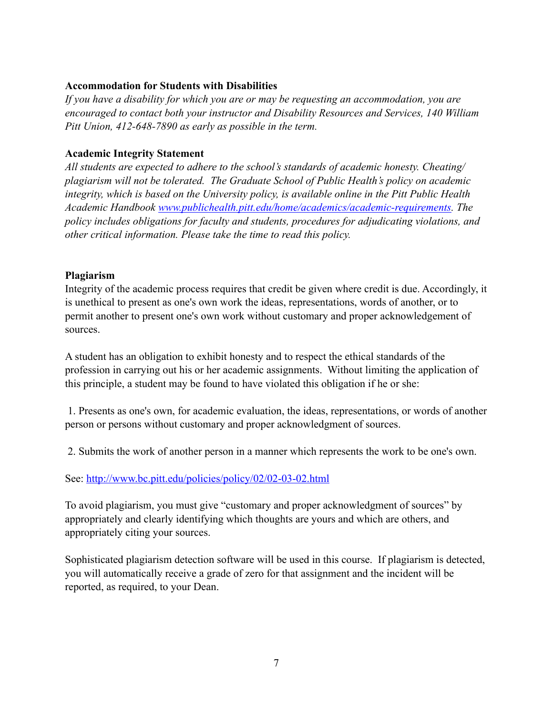## **Accommodation for Students with Disabilities**

*If you have a disability for which you are or may be requesting an accommodation, you are encouraged to contact both your instructor and Disability Resources and Services, 140 William Pitt Union, 412-648-7890 as early as possible in the term.*

## **Academic Integrity Statement**

*All students are expected to adhere to the school's standards of academic honesty. Cheating/ plagiarism will not be tolerated. The Graduate School of Public Health's policy on academic integrity, which is based on the University policy, is available online in the Pitt Public Health Academic Handbook [www.publichealth.pitt.edu/home/academics/academic-requirements.](https://na01.safelinks.protection.outlook.com/?url=http://www.publichealth.pitt.edu/home/academics/academic-requirements&data=01%257C01%257CRobin.Leaf@pitt.edu%257Cd2b682f8df1344a1488b08d5f7078713%257C9ef9f489e0a04eeb87cc3a526112fd0d%257C1&sdata=6ufA2nSlUetTPqxC3zE70WlE7mLMvNKznCNB7nQHwj0=&reserved=0) The policy includes obligations for faculty and students, procedures for adjudicating violations, and other critical information. Please take the time to read this policy.*

## **Plagiarism**

Integrity of the academic process requires that credit be given where credit is due. Accordingly, it is unethical to present as one's own work the ideas, representations, words of another, or to permit another to present one's own work without customary and proper acknowledgement of sources.

A student has an obligation to exhibit honesty and to respect the ethical standards of the profession in carrying out his or her academic assignments. Without limiting the application of this principle, a student may be found to have violated this obligation if he or she:

 1. Presents as one's own, for academic evaluation, the ideas, representations, or words of another person or persons without customary and proper acknowledgment of sources.

2. Submits the work of another person in a manner which represents the work to be one's own.

See: <http://www.bc.pitt.edu/policies/policy/02/02-03-02.html>

To avoid plagiarism, you must give "customary and proper acknowledgment of sources" by appropriately and clearly identifying which thoughts are yours and which are others, and appropriately citing your sources.

Sophisticated plagiarism detection software will be used in this course. If plagiarism is detected, you will automatically receive a grade of zero for that assignment and the incident will be reported, as required, to your Dean.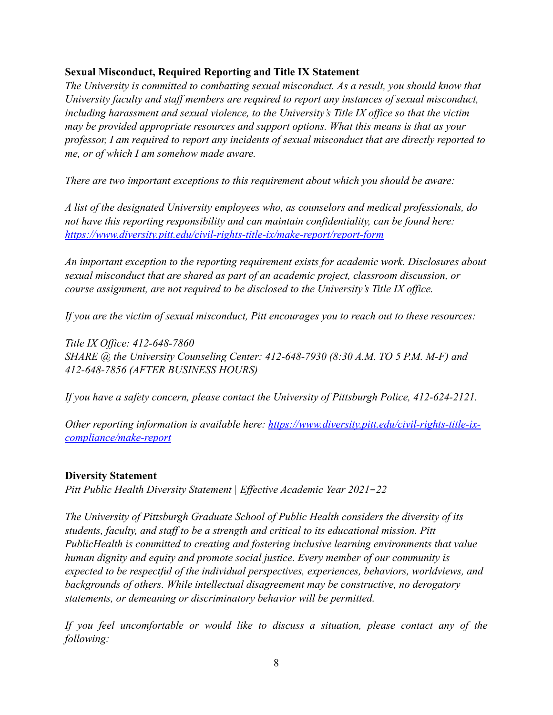## **Sexual Misconduct, Required Reporting and Title IX Statement**

*The University is committed to combatting sexual misconduct. As a result, you should know that University faculty and staff members are required to report any instances of sexual misconduct, including harassment and sexual violence, to the University's Title IX office so that the victim may be provided appropriate resources and support options. What this means is that as your professor, I am required to report any incidents of sexual misconduct that are directly reported to me, or of which I am somehow made aware.* 

*There are two important exceptions to this requirement about which you should be aware:*

*A list of the designated University employees who, as counselors and medical professionals, do not have this reporting responsibility and can maintain confidentiality, can be found here: <https://www.diversity.pitt.edu/civil-rights-title-ix/make-report/report-form>*

*An important exception to the reporting requirement exists for academic work. Disclosures about sexual misconduct that are shared as part of an academic project, classroom discussion, or course assignment, are not required to be disclosed to the University's Title IX office.* 

*If you are the victim of sexual misconduct, Pitt encourages you to reach out to these resources:*

*Title IX Office: 412-648-7860 SHARE @ the University Counseling Center: 412-648-7930 (8:30 A.M. TO 5 P.M. M-F) and 412-648-7856 (AFTER BUSINESS HOURS)*

*If you have a safety concern, please contact the University of Pittsburgh Police, 412-624-2121.* 

*Other reporting information is available here: [https://www.diversity.pitt.edu/civil-rights-title-ix](https://www.diversity.pitt.edu/civil-rights-title-ix-compliance/make-report)[compliance/make-report](https://www.diversity.pitt.edu/civil-rights-title-ix-compliance/make-report)*

## **Diversity Statement**

*Pitt Public Health Diversity Statement | Effective Academic Year 2021*-*22* 

*The University of Pittsburgh Graduate School of Public Health considers the diversity of its students, faculty, and staff to be a strength and critical to its educational mission. Pitt PublicHealth is committed to creating and fostering inclusive learning environments that value human dignity and equity and promote social justice. Every member of our community is expected to be respectful of the individual perspectives, experiences, behaviors, worldviews, and backgrounds of others. While intellectual disagreement may be constructive, no derogatory statements, or demeaning or discriminatory behavior will be permitted.*

*If you feel uncomfortable or would like to discuss a situation, please contact any of the following:*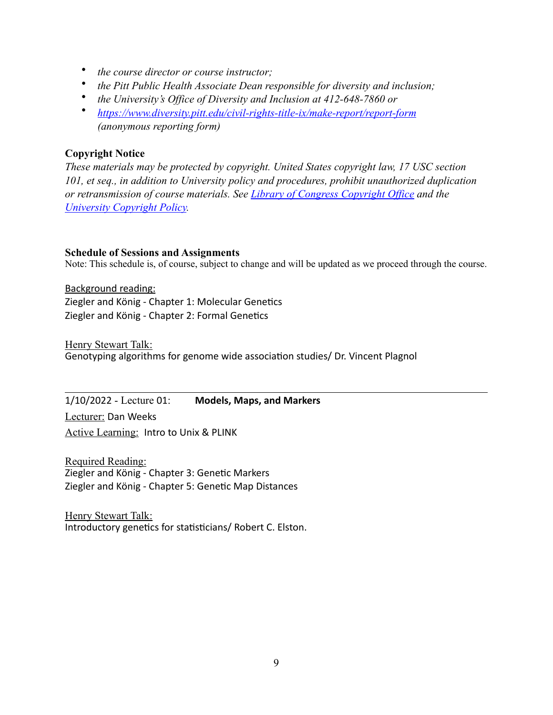- *the course director or course instructor;*
- *the Pitt Public Health Associate Dean responsible for diversity and inclusion;*
- *the University's Office of Diversity and Inclusion at 412-648-7860 or*
- *<https://www.diversity.pitt.edu/civil-rights-title-ix/make-report/report-form> (anonymous reporting form)*

## **Copyright Notice**

*These materials may be protected by copyright. United States copyright law, 17 USC section 101, et seq., in addition to University policy and procedures, prohibit unauthorized duplication or retransmission of course materials. See [Library of Congress Copyright Office](http://www.copyright.gov/) and the [University Copyright Policy.](https://www.policy.pitt.edu/cs-03-copying-copyrighted-material-formerly-10-04-01)*

## **Schedule of Sessions and Assignments**

Note: This schedule is, of course, subject to change and will be updated as we proceed through the course.

Background reading: Ziegler and König - Chapter 1: Molecular Genetics Ziegler and König - Chapter 2: Formal Genetics

Henry Stewart Talk: Genotyping algorithms for genome wide association studies/ Dr. Vincent Plagnol

1/10/2022 - Lecture 01: **Models, Maps, and Markers**  Lecturer: Dan Weeks

Active Learning: Intro to Unix & PLINK

Required Reading: Ziegler and König - Chapter 3: Genetic Markers Ziegler and König - Chapter 5: Genetic Map Distances

Henry Stewart Talk: Introductory genetics for statisticians/ Robert C. Elston.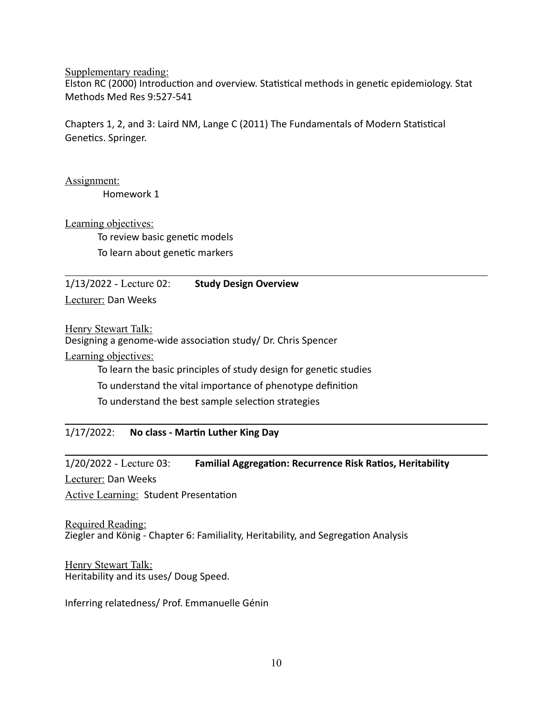Supplementary reading: Elston RC (2000) Introduction and overview. Statistical methods in genetic epidemiology. Stat Methods Med Res 9:527-541

Chapters 1, 2, and 3: Laird NM, Lange C (2011) The Fundamentals of Modern Statistical Genetics. Springer.

Assignment:

Homework 1

Learning objectives:

To review basic genetic models To learn about genetic markers

1/13/2022 - Lecture 02: **Study Design Overview** 

Lecturer: Dan Weeks

Henry Stewart Talk:

Designing a genome-wide association study/ Dr. Chris Spencer

Learning objectives:

To learn the basic principles of study design for genetic studies

To understand the vital importance of phenotype definition

To understand the best sample selection strategies

## 1/17/2022: No class - Martin Luther King Day

1/20/2022 - Lecture 03: **Familial Aggregation: Recurrence Risk Ratios, Heritability** 

Lecturer: Dan Weeks

Active Learning: Student Presentation

Required Reading: Ziegler and König - Chapter 6: Familiality, Heritability, and Segregation Analysis

Henry Stewart Talk: Heritability and its uses/ Doug Speed.

Inferring relatedness/ Prof. Emmanuelle Génin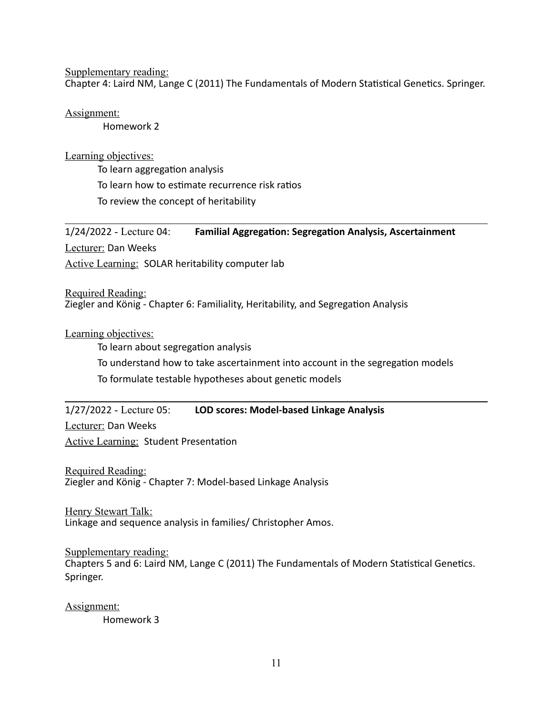Supplementary reading:

Chapter 4: Laird NM, Lange C (2011) The Fundamentals of Modern Statistical Genetics. Springer.

Assignment:

Homework 2

Learning objectives:

To learn aggregation analysis To learn how to estimate recurrence risk ratios To review the concept of heritability

1/24/2022 - Lecture 04: Familial Aggregation: Segregation Analysis, Ascertainment Lecturer: Dan Weeks Active Learning: SOLAR heritability computer lab

Required Reading: Ziegler and König - Chapter 6: Familiality, Heritability, and Segregation Analysis

Learning objectives:

To learn about segregation analysis

To understand how to take ascertainment into account in the segregation models

To formulate testable hypotheses about genetic models

## 1/27/2022 - Lecture 05: **LOD scores: Model-based Linkage Analysis**

Lecturer: Dan Weeks

Active Learning: Student Presentation

Required Reading: Ziegler and König - Chapter 7: Model-based Linkage Analysis

Henry Stewart Talk: Linkage and sequence analysis in families/ Christopher Amos.

Supplementary reading: Chapters 5 and 6: Laird NM, Lange C (2011) The Fundamentals of Modern Statistical Genetics. Springer.

Assignment:

Homework 3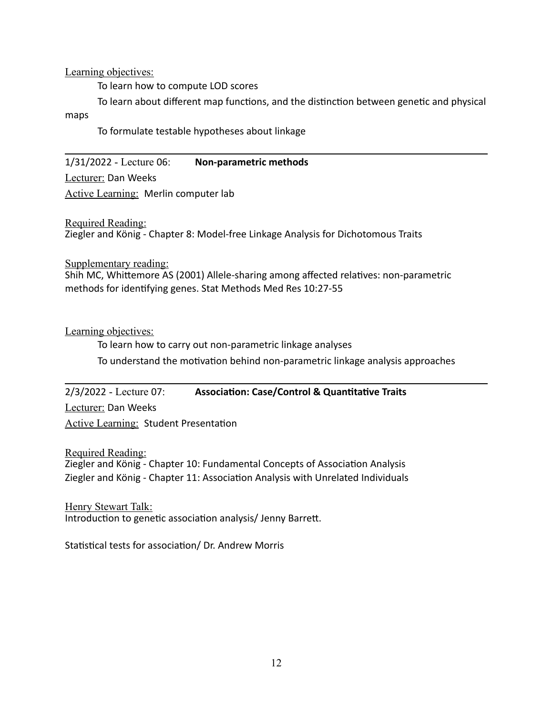Learning objectives:

To learn how to compute LOD scores

To learn about different map functions, and the distinction between genetic and physical maps

To formulate testable hypotheses about linkage

1/31/2022 - Lecture 06: **Non-parametric methods** 

Lecturer: Dan Weeks

Active Learning: Merlin computer lab

Required Reading:

Ziegler and König - Chapter 8: Model-free Linkage Analysis for Dichotomous Traits

Supplementary reading:

Shih MC, Whittemore AS (2001) Allele-sharing among affected relatives: non-parametric methods for identifying genes. Stat Methods Med Res 10:27-55

Learning objectives:

To learn how to carry out non-parametric linkage analyses To understand the motivation behind non-parametric linkage analysis approaches

2/3/2022 - Lecture 07: **Association: Case/Control & Quantitative Traits** 

Lecturer: Dan Weeks

Active Learning: Student Presentation

Required Reading: Ziegler and König - Chapter 10: Fundamental Concepts of Association Analysis Ziegler and König - Chapter 11: Association Analysis with Unrelated Individuals

Henry Stewart Talk: Introduction to genetic association analysis/ Jenny Barrett.

Statistical tests for association/ Dr. Andrew Morris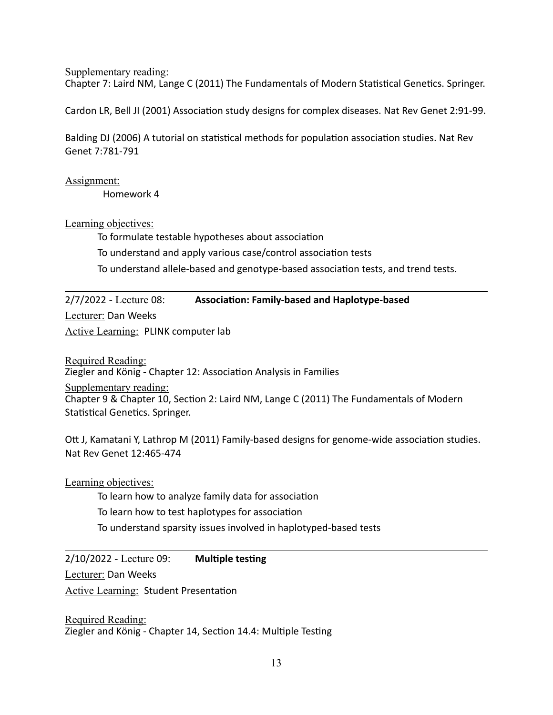Supplementary reading:

Chapter 7: Laird NM, Lange C (2011) The Fundamentals of Modern Statistical Genetics. Springer.

Cardon LR, Bell JI (2001) Association study designs for complex diseases. Nat Rev Genet 2:91-99.

Balding DJ (2006) A tutorial on statistical methods for population association studies. Nat Rev Genet 7:781-791

Assignment:

Homework 4

Learning objectives:

To formulate testable hypotheses about association

To understand and apply various case/control association tests

To understand allele-based and genotype-based association tests, and trend tests.

2/7/2022 - Lecture 08: **Association: Family-based and Haplotype-based** Lecturer: Dan Weeks

Active Learning: PLINK computer lab

Required Reading: Ziegler and König - Chapter 12: Association Analysis in Families Supplementary reading: Chapter 9 & Chapter 10, Section 2: Laird NM, Lange C (2011) The Fundamentals of Modern Statistical Genetics. Springer.

Ott J, Kamatani Y, Lathrop M (2011) Family-based designs for genome-wide association studies. Nat Rev Genet 12:465-474

Learning objectives:

To learn how to analyze family data for association To learn how to test haplotypes for association To understand sparsity issues involved in haplotyped-based tests

2/10/2022 - Lecture 09: **Multiple testing** 

Lecturer: Dan Weeks

**Active Learning: Student Presentation** 

Required Reading: Ziegler and König - Chapter 14, Section 14.4: Multiple Testing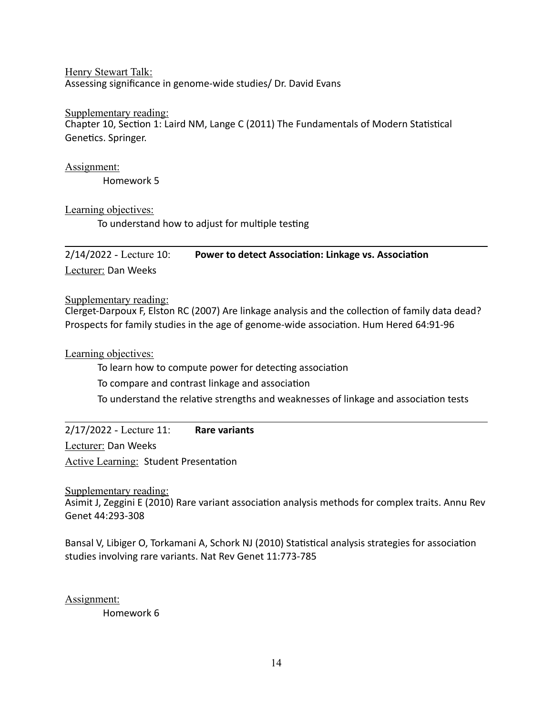Henry Stewart Talk: Assessing significance in genome-wide studies/ Dr. David Evans

#### Supplementary reading:

Chapter 10, Section 1: Laird NM, Lange C (2011) The Fundamentals of Modern Statistical Genetics. Springer.

Assignment:

Homework 5

Learning objectives:

To understand how to adjust for multiple testing

2/14/2022 - Lecture 10: Power to detect Association: Linkage vs. Association Lecturer: Dan Weeks

Supplementary reading:

Clerget-Darpoux F, Elston RC (2007) Are linkage analysis and the collection of family data dead? Prospects for family studies in the age of genome-wide association. Hum Hered 64:91-96

Learning objectives:

To learn how to compute power for detecting association

To compare and contrast linkage and association

To understand the relative strengths and weaknesses of linkage and association tests

2/17/2022 - Lecture 11: **Rare variants** 

Lecturer: Dan Weeks

Active Learning: Student Presentation

Supplementary reading:

Asimit J, Zeggini E (2010) Rare variant association analysis methods for complex traits. Annu Rev Genet 44:293-308

Bansal V, Libiger O, Torkamani A, Schork NJ (2010) Statistical analysis strategies for association studies involving rare variants. Nat Rev Genet 11:773-785

Assignment:

Homework 6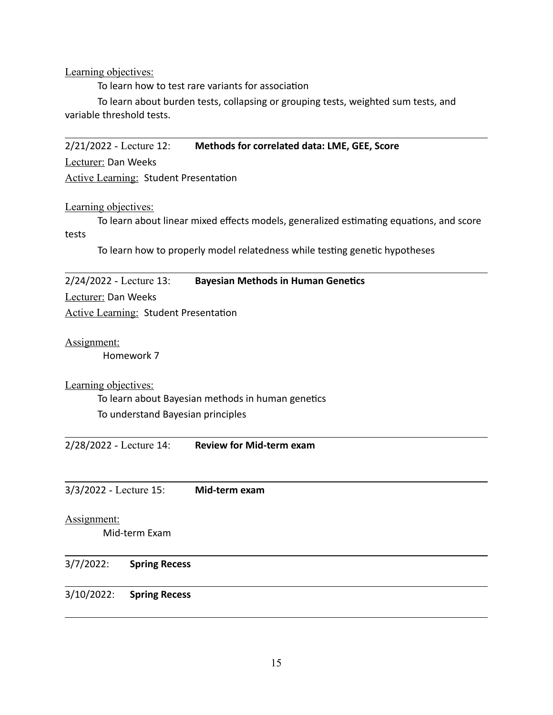Learning objectives:

To learn how to test rare variants for association

To learn about burden tests, collapsing or grouping tests, weighted sum tests, and variable threshold tests.

2/21/2022 - Lecture 12: **Methods for correlated data: LME, GEE, Score** 

Lecturer: Dan Weeks

Active Learning: Student Presentation

Learning objectives:

To learn about linear mixed effects models, generalized estimating equations, and score tests

To learn how to properly model relatedness while testing genetic hypotheses

2/24/2022 - Lecture 13: **Bayesian Methods in Human Genetics** 

Lecturer: Dan Weeks

Active Learning: Student Presentation

Assignment:

Homework 7

Learning objectives:

To learn about Bayesian methods in human genetics To understand Bayesian principles

2/28/2022 - Lecture 14: **Review for Mid-term exam** 

3/3/2022 - Lecture 15: **Mid-term exam** 

Assignment:

Mid-term Exam

#### 3/7/2022: **Spring Recess**

#### 3/10/2022: **Spring Recess**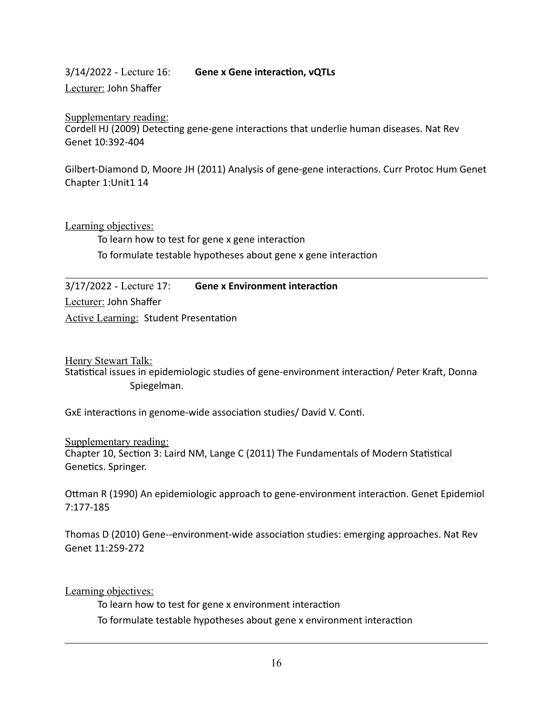# 3/14/2022 - Lecture 16: **Gene x Gene interaction, vQTLs**

Lecturer: John Shaffer

Supplementary reading: Cordell HJ (2009) Detecting gene-gene interactions that underlie human diseases. Nat Rev Genet 10:392-404

Gilbert-Diamond D, Moore JH (2011) Analysis of gene-gene interactions. Curr Protoc Hum Genet Chapter 1:Unit1 14

Learning objectives:

To learn how to test for gene x gene interaction To formulate testable hypotheses about gene x gene interaction

3/17/2022 - Lecture 17: Gene x Environment interaction Lecturer: John Shaffer Active Learning: Student Presentation

Henry Stewart Talk:

Statistical issues in epidemiologic studies of gene-environment interaction/ Peter Kraft, Donna Spiegelman.

GxE interactions in genome-wide association studies/ David V. Conti.

Supplementary reading: Chapter 10, Section 3: Laird NM, Lange C (2011) The Fundamentals of Modern Statistical Genetics. Springer.

Ottman R (1990) An epidemiologic approach to gene-environment interaction. Genet Epidemiol 7:177-185

Thomas D (2010) Gene--environment-wide association studies: emerging approaches. Nat Rev Genet 11:259-272

Learning objectives:

To learn how to test for gene x environment interaction To formulate testable hypotheses about gene x environment interaction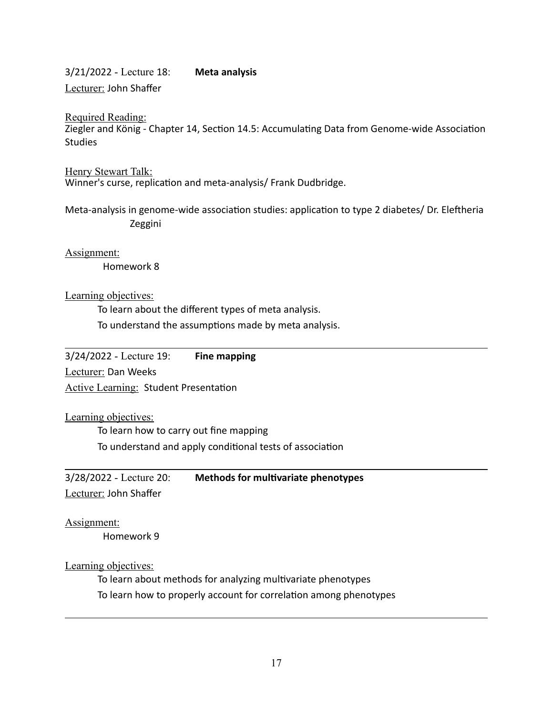3/21/2022 - Lecture 18: **Meta analysis**  Lecturer: John Shaffer

Required Reading:

Ziegler and König - Chapter 14, Section 14.5: Accumulating Data from Genome-wide Association Studies

Henry Stewart Talk: Winner's curse, replication and meta-analysis/ Frank Dudbridge.

Meta-analysis in genome-wide association studies: application to type 2 diabetes/ Dr. Eleftheria Zeggini

Assignment: Homework 8

Learning objectives:

To learn about the different types of meta analysis. To understand the assumptions made by meta analysis.

3/24/2022 - Lecture 19: **Fine mapping** 

Lecturer: Dan Weeks

Active Learning: Student Presentation

Learning objectives:

To learn how to carry out fine mapping To understand and apply conditional tests of association

3/28/2022 - Lecture 20: **Methods for mul;variate phenotypes** 

Lecturer: John Shaffer

Assignment:

Homework 9

Learning objectives:

To learn about methods for analyzing multivariate phenotypes To learn how to properly account for correlation among phenotypes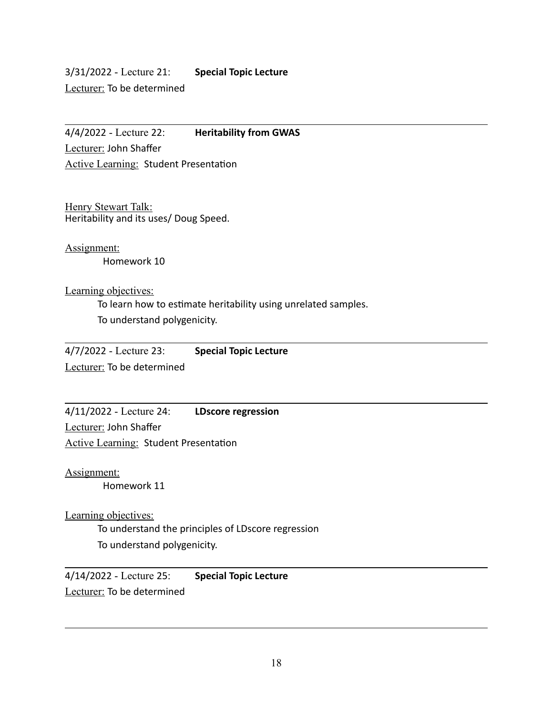3/31/2022 - Lecture 21: **Special Topic Lecture**  Lecturer: To be determined

4/4/2022 - Lecture 22: **Heritability from GWAS**  Lecturer: John Shaffer Active Learning: Student Presentation

Henry Stewart Talk: Heritability and its uses/ Doug Speed.

Assignment: Homework 10

Learning objectives:

To learn how to estimate heritability using unrelated samples. To understand polygenicity.

4/7/2022 - Lecture 23: **Special Topic Lecture**  Lecturer: To be determined

4/11/2022 - Lecture 24: **LDscore regression**  Lecturer: John Shaffer Active Learning: Student Presentation

Assignment:

Homework 11

Learning objectives:

To understand the principles of LDscore regression To understand polygenicity.

4/14/2022 - Lecture 25: **Special Topic Lecture**  Lecturer: To be determined